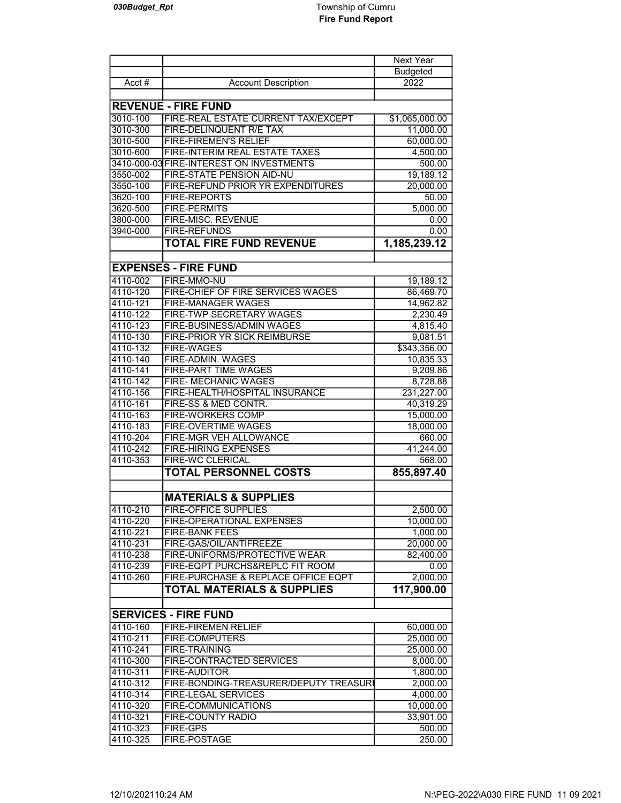|                      |                                                  | Next Year         |
|----------------------|--------------------------------------------------|-------------------|
|                      |                                                  | <b>Budgeted</b>   |
| Acct $#$             | <b>Account Description</b>                       | 2022              |
|                      |                                                  |                   |
|                      | <b>REVENUE - FIRE FUND</b>                       |                   |
| 3010-100             | FIRE-REAL ESTATE CURRENT TAX/EXCEPT              | \$1,065,000.00    |
| 3010-300             | FIRE-DELINQUENT R/E TAX                          | 11,000.00         |
| 3010-500             | <b>FIRE-FIREMEN'S RELIEF</b>                     | 60,000.00         |
| 3010-600             | FIRE-INTERIM REAL ESTATE TAXES                   | 4,500.00          |
|                      | 3410-000-03 FIRE-INTEREST ON INVESTMENTS         | 500.00            |
| 3550-002             | FIRE-STATE PENSION AID-NU                        | 19,189.12         |
| 3550-100             | FIRE-REFUND PRIOR YR EXPENDITURES                | 20,000.00         |
| 3620-100             | <b>FIRE-REPORTS</b>                              | 50.00             |
| 3620-500             | <b>FIRE-PERMITS</b>                              | 5,000.00          |
| 3800-000             | FIRE-MISC. REVENUE                               | 0.00              |
| 3940-000             | <b>FIRE-REFUNDS</b>                              | 0.00              |
|                      | <b>TOTAL FIRE FUND REVENUE</b>                   | 1,185,239.12      |
|                      | <b>EXPENSES - FIRE FUND</b>                      |                   |
| 4110-002             | FIRE-MMO-NU                                      | 19,189.12         |
| 4110-120             | FIRE-CHIEF OF FIRE SERVICES WAGES                | 86,469.70         |
| 4110-121             | FIRE-MANAGER WAGES                               | 14,962.82         |
| 4110-122             | <b>FIRE-TWP SECRETARY WAGES</b>                  | 2,230.49          |
| 4110-123             | FIRE-BUSINESS/ADMIN WAGES                        | 4,815.40          |
| 4110-130             | <b>FIRE-PRIOR YR SICK REIMBURSE</b>              | 9,081.51          |
| 4110-132             | <b>FIRE-WAGES</b>                                | \$343,356.00      |
| 4110-140             | <b>FIRE-ADMIN. WAGES</b>                         | 10,835.33         |
| 4110-141             | FIRE-PART TIME WAGES                             | 9,209.86          |
| 4110-142             | FIRE- MECHANIC WAGES                             | 8,728.88          |
| 4110-156             | FIRE-HEALTH/HOSPITAL INSURANCE                   | 231,227.00        |
| 4110-161             | FIRE-SS & MED CONTR.                             | 40,319.29         |
| 4110-163             | <b>FIRE-WORKERS COMP</b>                         | 15,000.00         |
| 4110-183             | <b>FIRE-OVERTIME WAGES</b>                       | 18,000.00         |
| 4110-204             | FIRE-MGR VEH ALLOWANCE                           | 660.00            |
| 4110-242             | <b>FIRE-HIRING EXPENSES</b>                      | 41,244.00         |
| 4110-353             | <b>FIRE-WC CLERICAL</b>                          | 568.00            |
|                      | <b>TOTAL PERSONNEL COSTS</b>                     | 855,897.40        |
|                      |                                                  |                   |
|                      | <b>MATERIALS &amp; SUPPLIES</b>                  |                   |
| 4110-210             | <b>FIRE-OFFICE SUPPLIES</b>                      | 2,500.00          |
| 4110-220             | FIRE-OPERATIONAL EXPENSES                        | 10,000.00         |
| 4110-221<br>4110-231 | <b>FIRE-BANK FEES</b><br>FIRE-GAS/OIL/ANTIFREEZE | 1,000.00          |
| 4110-238             | FIRE-UNIFORMS/PROTECTIVE WEAR                    | 20,000.00         |
| 4110-239             | FIRE-EQPT PURCHS&REPLC FIT ROOM                  | 82,400.00<br>0.00 |
| 4110-260             | FIRE-PURCHASE & REPLACE OFFICE EQPT              | 2,000.00          |
|                      | <b>TOTAL MATERIALS &amp; SUPPLIES</b>            | 117,900.00        |
|                      |                                                  |                   |
|                      | <b>SERVICES - FIRE FUND</b>                      |                   |
| 4110-160             | <b>FIRE-FIREMEN RELIEF</b>                       | 60,000.00         |
| 4110-211             | <b>FIRE-COMPUTERS</b>                            | 25,000.00         |
| 4110-241             | <b>FIRE-TRAINING</b>                             | 25,000.00         |
| 4110-300             | FIRE-CONTRACTED SERVICES                         | 8,000.00          |
| 4110-311             | <b>FIRE-AUDITOR</b>                              | 1,800.00          |
| 4110-312             | FIRE-BONDING-TREASURER/DEPUTY TREASURI           | 2,000.00          |
| 4110-314             | <b>FIRE-LEGAL SERVICES</b>                       | 4,000.00          |
| 4110-320             | FIRE-COMMUNICATIONS                              | 10,000.00         |
| 4110-321             | FIRE-COUNTY RADIO                                | 33,901.00         |
| 4110-323             | <b>FIRE-GPS</b>                                  | 500.00            |
| 4110-325             | FIRE-POSTAGE                                     | 250.00            |